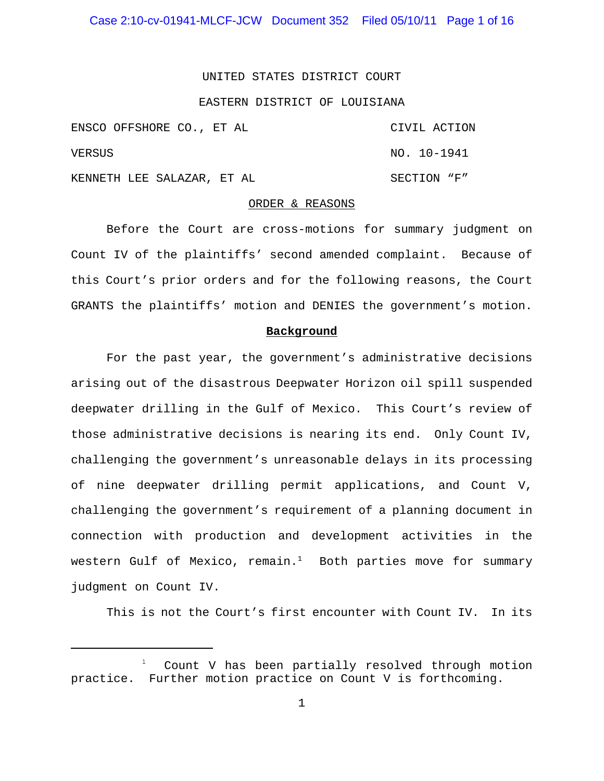#### UNITED STATES DISTRICT COURT

#### EASTERN DISTRICT OF LOUISIANA

|        | ENSCO OFFSHORE CO., ET AL  | CIVIL ACTION |
|--------|----------------------------|--------------|
| VERSUS |                            | NO. 10-1941  |
|        | KENNETH LEE SALAZAR, ET AL | SECTION "F"  |

#### ORDER & REASONS

Before the Court are cross-motions for summary judgment on Count IV of the plaintiffs' second amended complaint. Because of this Court's prior orders and for the following reasons, the Court GRANTS the plaintiffs' motion and DENIES the government's motion.

#### **Background**

For the past year, the government's administrative decisions arising out of the disastrous Deepwater Horizon oil spill suspended deepwater drilling in the Gulf of Mexico. This Court's review of those administrative decisions is nearing its end. Only Count IV, challenging the government's unreasonable delays in its processing of nine deepwater drilling permit applications, and Count V, challenging the government's requirement of a planning document in connection with production and development activities in the western Gulf of Mexico, remain. $<sup>1</sup>$  Both parties move for summary</sup> judgment on Count IV.

This is not the Court's first encounter with Count IV. In its

<sup>1</sup> Count V has been partially resolved through motion practice. Further motion practice on Count V is forthcoming.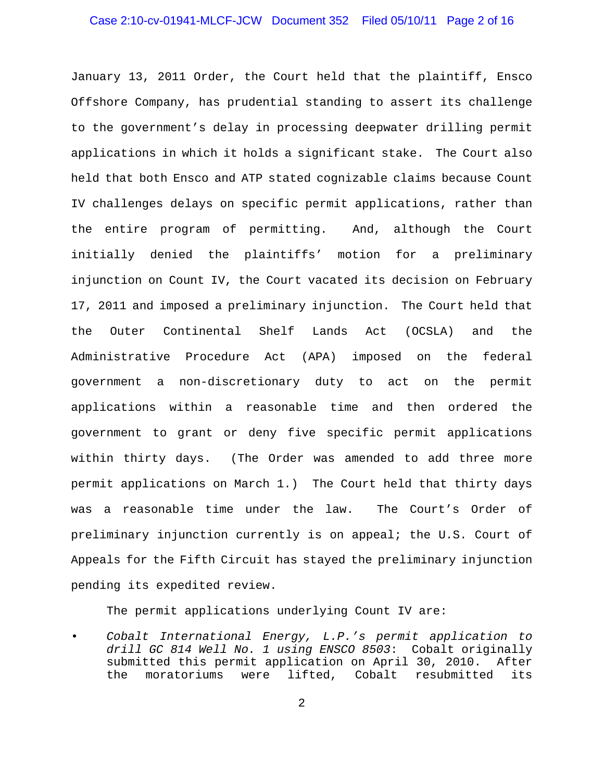# Case 2:10-cv-01941-MLCF-JCW Document 352 Filed 05/10/11 Page 2 of 16

January 13, 2011 Order, the Court held that the plaintiff, Ensco Offshore Company, has prudential standing to assert its challenge to the government's delay in processing deepwater drilling permit applications in which it holds a significant stake. The Court also held that both Ensco and ATP stated cognizable claims because Count IV challenges delays on specific permit applications, rather than the entire program of permitting. And, although the Court initially denied the plaintiffs' motion for a preliminary injunction on Count IV, the Court vacated its decision on February 17, 2011 and imposed a preliminary injunction. The Court held that the Outer Continental Shelf Lands Act (OCSLA) and the Administrative Procedure Act (APA) imposed on the federal government a non-discretionary duty to act on the permit applications within a reasonable time and then ordered the government to grant or deny five specific permit applications within thirty days. (The Order was amended to add three more permit applications on March 1.) The Court held that thirty days was a reasonable time under the law. The Court's Order of preliminary injunction currently is on appeal; the U.S. Court of Appeals for the Fifth Circuit has stayed the preliminary injunction pending its expedited review.

The permit applications underlying Count IV are:

• *Cobalt International Energy, L.P.'s permit application to drill GC 814 Well No. 1 using ENSCO 8503*: Cobalt originally submitted this permit application on April 30, 2010. After the moratoriums were lifted, Cobalt resubmitted its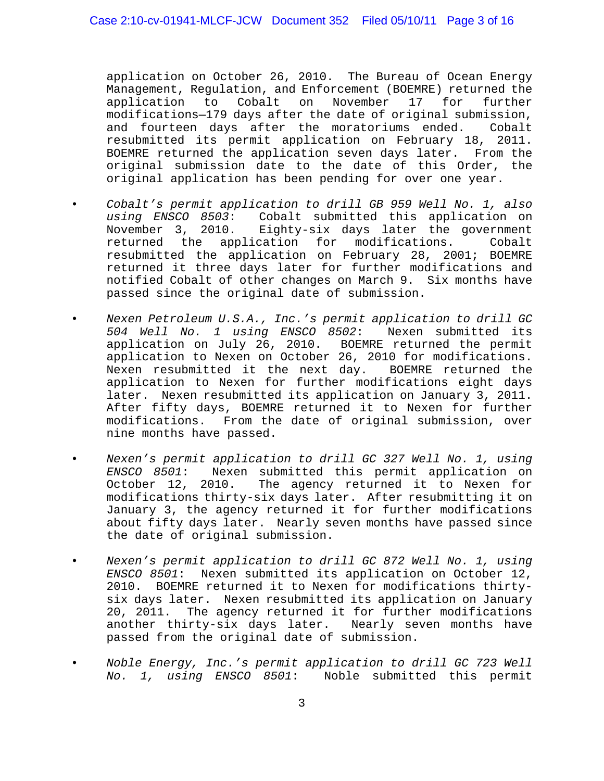application on October 26, 2010. The Bureau of Ocean Energy Management, Regulation, and Enforcement (BOEMRE) returned the application to Cobalt on November 17 for further modifications—179 days after the date of original submission, and fourteen days after the moratoriums ended. Cobalt resubmitted its permit application on February 18, 2011. BOEMRE returned the application seven days later. From the original submission date to the date of this Order, the original application has been pending for over one year.

- *Cobalt's permit application to drill GB 959 Well No. 1, also using ENSCO 8503*: Cobalt submitted this application on November 3, 2010. Eighty-six days later the government returned the application for modifications. Cobalt resubmitted the application on February 28, 2001; BOEMRE returned it three days later for further modifications and notified Cobalt of other changes on March 9. Six months have passed since the original date of submission.
- *Nexen Petroleum U.S.A., Inc.'s permit application to drill GC 504 Well No. 1 using ENSCO 8502*: Nexen submitted its application on July 26, 2010. BOEMRE returned the permit application to Nexen on October 26, 2010 for modifications. Nexen resubmitted it the next day. BOEMRE returned the application to Nexen for further modifications eight days later. Nexen resubmitted its application on January 3, 2011. After fifty days, BOEMRE returned it to Nexen for further modifications. From the date of original submission, over nine months have passed.
- *Nexen's permit application to drill GC 327 Well No. 1, using ENSCO 8501*: Nexen submitted this permit application on October 12, 2010. The agency returned it to Nexen for modifications thirty-six days later. After resubmitting it on January 3, the agency returned it for further modifications about fifty days later. Nearly seven months have passed since the date of original submission.
- *Nexen's permit application to drill GC 872 Well No. 1, using ENSCO 8501*: Nexen submitted its application on October 12, 2010. BOEMRE returned it to Nexen for modifications thirtysix days later. Nexen resubmitted its application on January 20, 2011. The agency returned it for further modifications another thirty-six days later. Nearly seven months have passed from the original date of submission.
- *Noble Energy, Inc.'s permit application to drill GC 723 Well No. 1, using ENSCO 8501*: Noble submitted this permit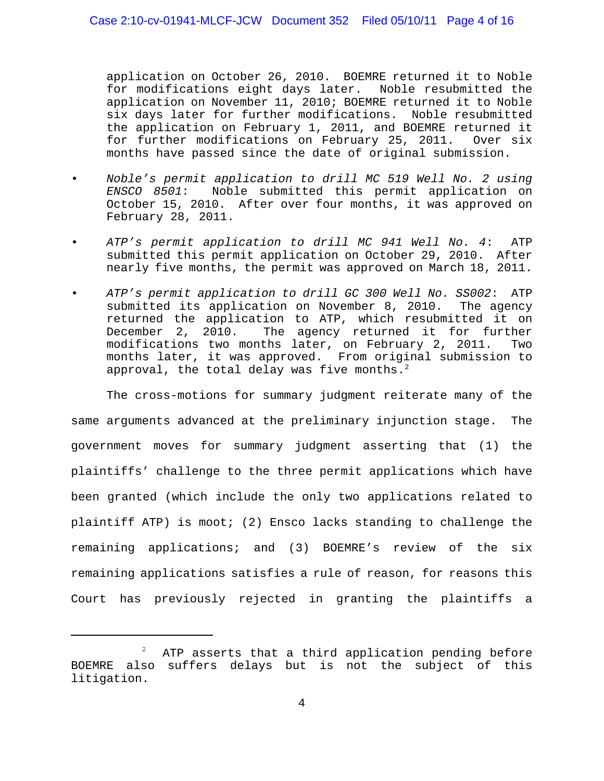application on October 26, 2010. BOEMRE returned it to Noble for modifications eight days later. Noble resubmitted the application on November 11, 2010; BOEMRE returned it to Noble six days later for further modifications. Noble resubmitted the application on February 1, 2011, and BOEMRE returned it for further modifications on February 25, 2011. Over six months have passed since the date of original submission.

- *Noble's permit application to drill MC 519 Well No. 2 using ENSCO 8501*: Noble submitted this permit application on October 15, 2010. After over four months, it was approved on February 28, 2011.
- *ATP's permit application to drill MC 941 Well No. 4*: ATP submitted this permit application on October 29, 2010. After nearly five months, the permit was approved on March 18, 2011.
- *ATP's permit application to drill GC 300 Well No. SS002*: ATP submitted its application on November 8, 2010. The agency returned the application to ATP, which resubmitted it on December 2, 2010. The agency returned it for further modifications two months later, on February 2, 2011. Two months later, it was approved. From original submission to approval, the total delay was five months. $2$

The cross-motions for summary judgment reiterate many of the same arguments advanced at the preliminary injunction stage. The government moves for summary judgment asserting that (1) the plaintiffs' challenge to the three permit applications which have been granted (which include the only two applications related to plaintiff ATP) is moot; (2) Ensco lacks standing to challenge the remaining applications; and (3) BOEMRE's review of the six remaining applications satisfies a rule of reason, for reasons this Court has previously rejected in granting the plaintiffs a

<sup>2</sup> ATP asserts that a third application pending before BOEMRE also suffers delays but is not the subject of this litigation.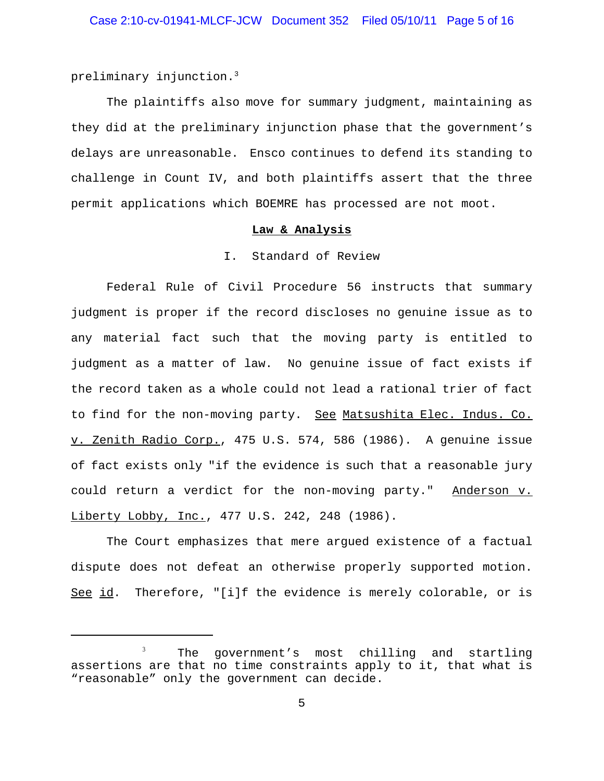preliminary injunction.3

The plaintiffs also move for summary judgment, maintaining as they did at the preliminary injunction phase that the government's delays are unreasonable. Ensco continues to defend its standing to challenge in Count IV, and both plaintiffs assert that the three permit applications which BOEMRE has processed are not moot.

## **Law & Analysis**

#### I. Standard of Review

Federal Rule of Civil Procedure 56 instructs that summary judgment is proper if the record discloses no genuine issue as to any material fact such that the moving party is entitled to judgment as a matter of law. No genuine issue of fact exists if the record taken as a whole could not lead a rational trier of fact to find for the non-moving party. See Matsushita Elec. Indus. Co. v. Zenith Radio Corp., 475 U.S. 574, 586 (1986). A genuine issue of fact exists only "if the evidence is such that a reasonable jury could return a verdict for the non-moving party." Anderson v. Liberty Lobby, Inc., 477 U.S. 242, 248 (1986).

The Court emphasizes that mere argued existence of a factual dispute does not defeat an otherwise properly supported motion. See id. Therefore, "[i]f the evidence is merely colorable, or is

<sup>3</sup> The government's most chilling and startling assertions are that no time constraints apply to it, that what is "reasonable" only the government can decide.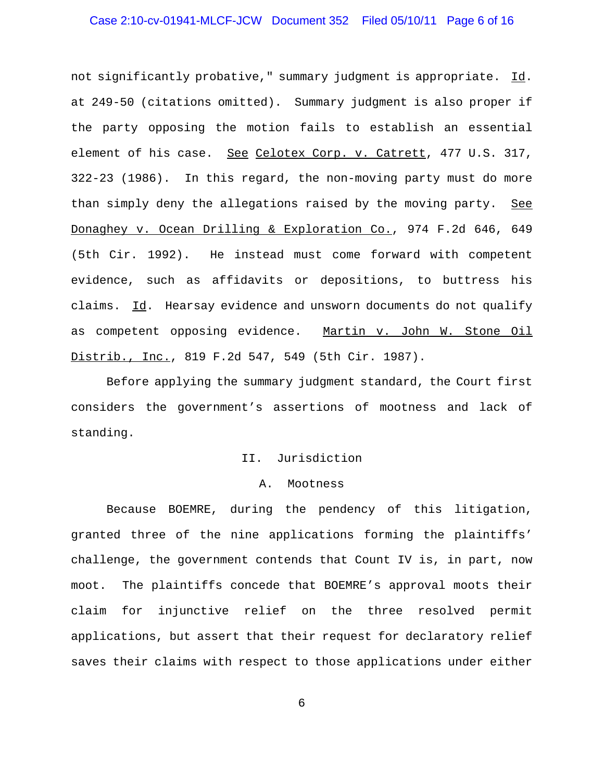# Case 2:10-cv-01941-MLCF-JCW Document 352 Filed 05/10/11 Page 6 of 16

not significantly probative," summary judgment is appropriate. Id. at 249-50 (citations omitted). Summary judgment is also proper if the party opposing the motion fails to establish an essential element of his case. See Celotex Corp. v. Catrett, 477 U.S. 317, 322-23 (1986). In this regard, the non-moving party must do more than simply deny the allegations raised by the moving party. See Donaghey v. Ocean Drilling & Exploration Co., 974 F.2d 646, 649 (5th Cir. 1992). He instead must come forward with competent evidence, such as affidavits or depositions, to buttress his claims. Id. Hearsay evidence and unsworn documents do not qualify as competent opposing evidence. Martin v. John W. Stone Oil Distrib., Inc., 819 F.2d 547, 549 (5th Cir. 1987).

Before applying the summary judgment standard, the Court first considers the government's assertions of mootness and lack of standing.

### II. Jurisdiction

#### A. Mootness

Because BOEMRE, during the pendency of this litigation, granted three of the nine applications forming the plaintiffs' challenge, the government contends that Count IV is, in part, now moot. The plaintiffs concede that BOEMRE's approval moots their claim for injunctive relief on the three resolved permit applications, but assert that their request for declaratory relief saves their claims with respect to those applications under either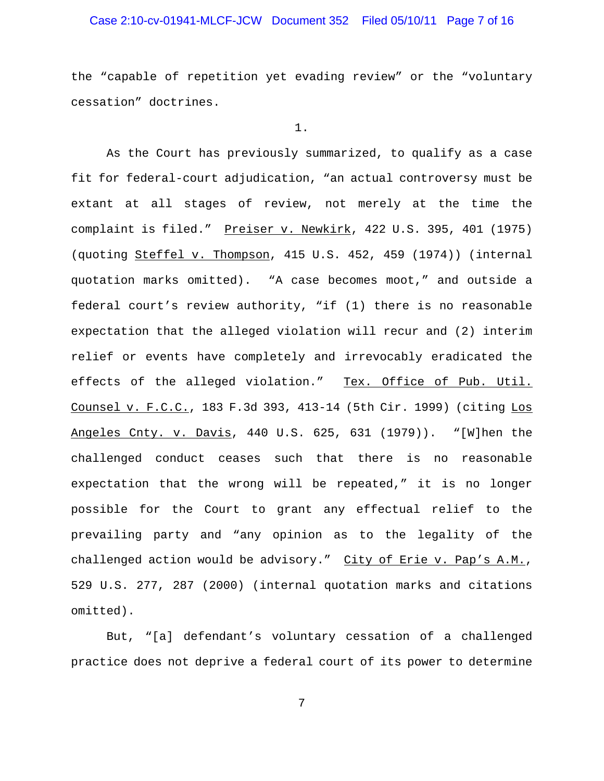# Case 2:10-cv-01941-MLCF-JCW Document 352 Filed 05/10/11 Page 7 of 16

the "capable of repetition yet evading review" or the "voluntary cessation" doctrines.

1.

As the Court has previously summarized, to qualify as a case fit for federal-court adjudication, "an actual controversy must be extant at all stages of review, not merely at the time the complaint is filed." Preiser v. Newkirk, 422 U.S. 395, 401 (1975) (quoting Steffel v. Thompson, 415 U.S. 452, 459 (1974)) (internal quotation marks omitted). "A case becomes moot," and outside a federal court's review authority, "if (1) there is no reasonable expectation that the alleged violation will recur and (2) interim relief or events have completely and irrevocably eradicated the effects of the alleged violation." Tex. Office of Pub. Util. Counsel v. F.C.C., 183 F.3d 393, 413-14 (5th Cir. 1999) (citing Los Angeles Cnty. v. Davis, 440 U.S. 625, 631 (1979)). "[W]hen the challenged conduct ceases such that there is no reasonable expectation that the wrong will be repeated," it is no longer possible for the Court to grant any effectual relief to the prevailing party and "any opinion as to the legality of the challenged action would be advisory." City of Erie v. Pap's A.M., 529 U.S. 277, 287 (2000) (internal quotation marks and citations omitted).

But, "[a] defendant's voluntary cessation of a challenged practice does not deprive a federal court of its power to determine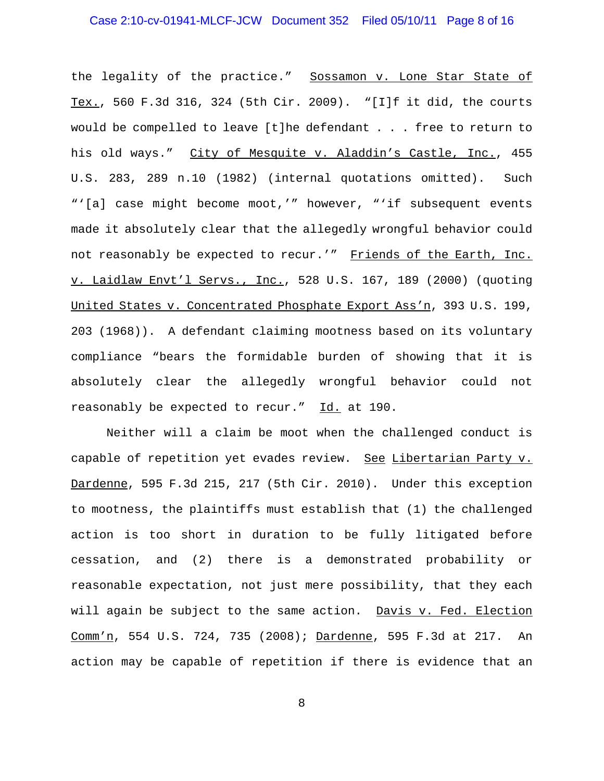# Case 2:10-cv-01941-MLCF-JCW Document 352 Filed 05/10/11 Page 8 of 16

the legality of the practice." Sossamon v. Lone Star State of Tex., 560 F.3d 316, 324 (5th Cir. 2009). "[I]f it did, the courts would be compelled to leave [t]he defendant . . . free to return to his old ways." City of Mesquite v. Aladdin's Castle, Inc., 455 U.S. 283, 289 n.10 (1982) (internal quotations omitted). Such "'[a] case might become moot,'" however, "'if subsequent events made it absolutely clear that the allegedly wrongful behavior could not reasonably be expected to recur.'" Friends of the Earth, Inc. v. Laidlaw Envt'l Servs., Inc., 528 U.S. 167, 189 (2000) (quoting United States v. Concentrated Phosphate Export Ass'n, 393 U.S. 199, 203 (1968)). A defendant claiming mootness based on its voluntary compliance "bears the formidable burden of showing that it is absolutely clear the allegedly wrongful behavior could not reasonably be expected to recur." Id. at 190.

Neither will a claim be moot when the challenged conduct is capable of repetition yet evades review. See Libertarian Party v. Dardenne, 595 F.3d 215, 217 (5th Cir. 2010). Under this exception to mootness, the plaintiffs must establish that (1) the challenged action is too short in duration to be fully litigated before cessation, and (2) there is a demonstrated probability or reasonable expectation, not just mere possibility, that they each will again be subject to the same action. Davis v. Fed. Election Comm'n, 554 U.S. 724, 735 (2008); Dardenne, 595 F.3d at 217. An action may be capable of repetition if there is evidence that an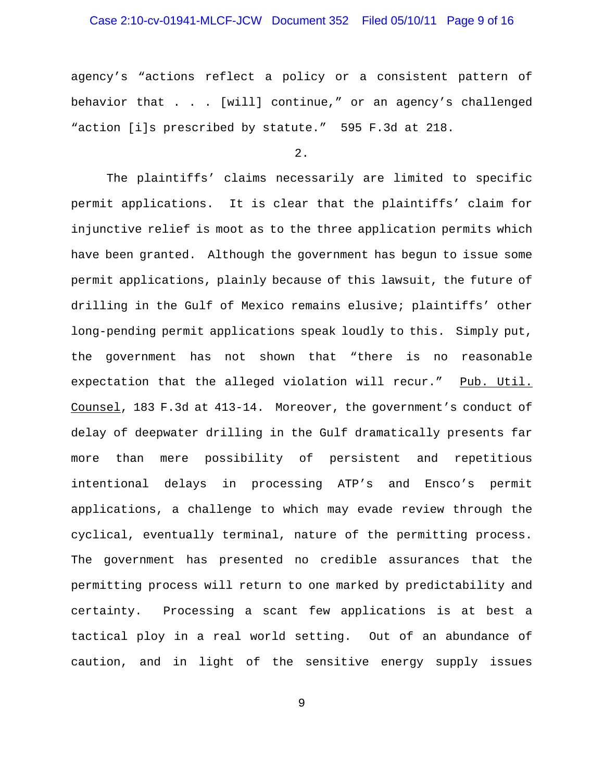# Case 2:10-cv-01941-MLCF-JCW Document 352 Filed 05/10/11 Page 9 of 16

agency's "actions reflect a policy or a consistent pattern of behavior that . . . [will] continue," or an agency's challenged "action [i]s prescribed by statute." 595 F.3d at 218.

2.

The plaintiffs' claims necessarily are limited to specific permit applications. It is clear that the plaintiffs' claim for injunctive relief is moot as to the three application permits which have been granted. Although the government has begun to issue some permit applications, plainly because of this lawsuit, the future of drilling in the Gulf of Mexico remains elusive; plaintiffs' other long-pending permit applications speak loudly to this. Simply put, the government has not shown that "there is no reasonable expectation that the alleged violation will recur." Pub. Util. Counsel, 183 F.3d at 413-14. Moreover, the government's conduct of delay of deepwater drilling in the Gulf dramatically presents far more than mere possibility of persistent and repetitious intentional delays in processing ATP's and Ensco's permit applications, a challenge to which may evade review through the cyclical, eventually terminal, nature of the permitting process. The government has presented no credible assurances that the permitting process will return to one marked by predictability and certainty. Processing a scant few applications is at best a tactical ploy in a real world setting. Out of an abundance of caution, and in light of the sensitive energy supply issues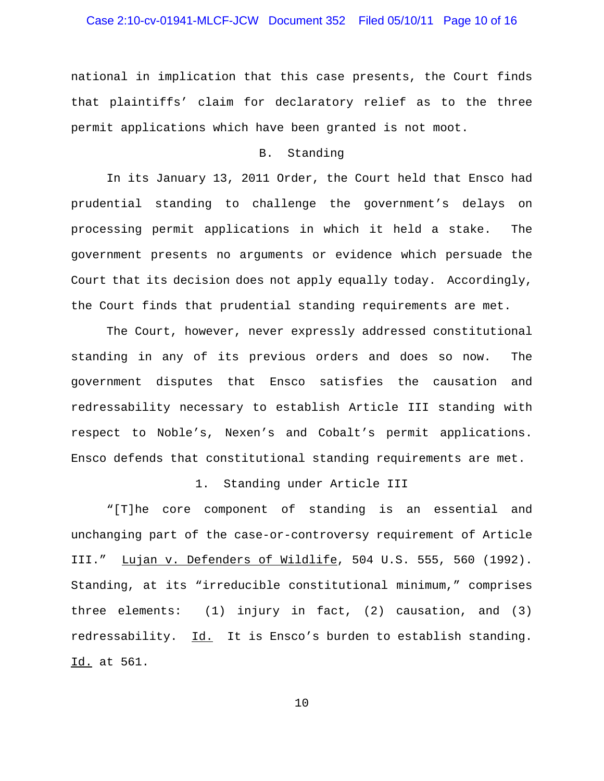# Case 2:10-cv-01941-MLCF-JCW Document 352 Filed 05/10/11 Page 10 of 16

national in implication that this case presents, the Court finds that plaintiffs' claim for declaratory relief as to the three permit applications which have been granted is not moot.

### B. Standing

In its January 13, 2011 Order, the Court held that Ensco had prudential standing to challenge the government's delays on processing permit applications in which it held a stake. The government presents no arguments or evidence which persuade the Court that its decision does not apply equally today. Accordingly, the Court finds that prudential standing requirements are met.

The Court, however, never expressly addressed constitutional standing in any of its previous orders and does so now. The government disputes that Ensco satisfies the causation and redressability necessary to establish Article III standing with respect to Noble's, Nexen's and Cobalt's permit applications. Ensco defends that constitutional standing requirements are met.

### 1. Standing under Article III

"[T]he core component of standing is an essential and unchanging part of the case-or-controversy requirement of Article III." Lujan v. Defenders of Wildlife, 504 U.S. 555, 560 (1992). Standing, at its "irreducible constitutional minimum," comprises three elements: (1) injury in fact, (2) causation, and (3) redressability. Id. It is Ensco's burden to establish standing. Id. at 561.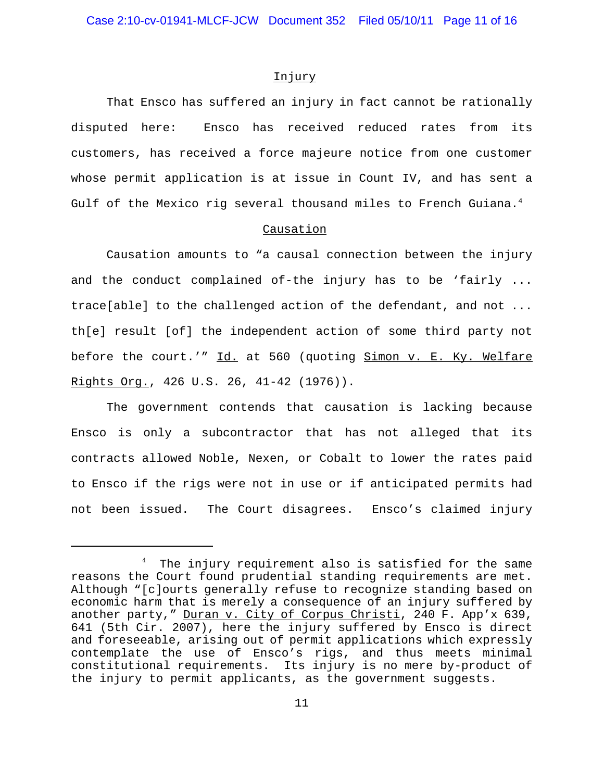#### Injury

That Ensco has suffered an injury in fact cannot be rationally disputed here: Ensco has received reduced rates from its customers, has received a force majeure notice from one customer whose permit application is at issue in Count IV, and has sent a Gulf of the Mexico rig several thousand miles to French Guiana.<sup>4</sup>

#### Causation

Causation amounts to "a causal connection between the injury and the conduct complained of-the injury has to be 'fairly ... trace[able] to the challenged action of the defendant, and not ... th[e] result [of] the independent action of some third party not before the court.'" Id. at 560 (quoting Simon v. E. Ky. Welfare Rights Org., 426 U.S. 26, 41-42 (1976)).

The government contends that causation is lacking because Ensco is only a subcontractor that has not alleged that its contracts allowed Noble, Nexen, or Cobalt to lower the rates paid to Ensco if the rigs were not in use or if anticipated permits had not been issued. The Court disagrees. Ensco's claimed injury

<sup>4</sup> The injury requirement also is satisfied for the same reasons the Court found prudential standing requirements are met. Although "[c]ourts generally refuse to recognize standing based on economic harm that is merely a consequence of an injury suffered by another party," Duran v. City of Corpus Christi, 240 F. App'x 639, 641 (5th Cir. 2007), here the injury suffered by Ensco is direct and foreseeable, arising out of permit applications which expressly contemplate the use of Ensco's rigs, and thus meets minimal constitutional requirements. Its injury is no mere by-product of the injury to permit applicants, as the government suggests.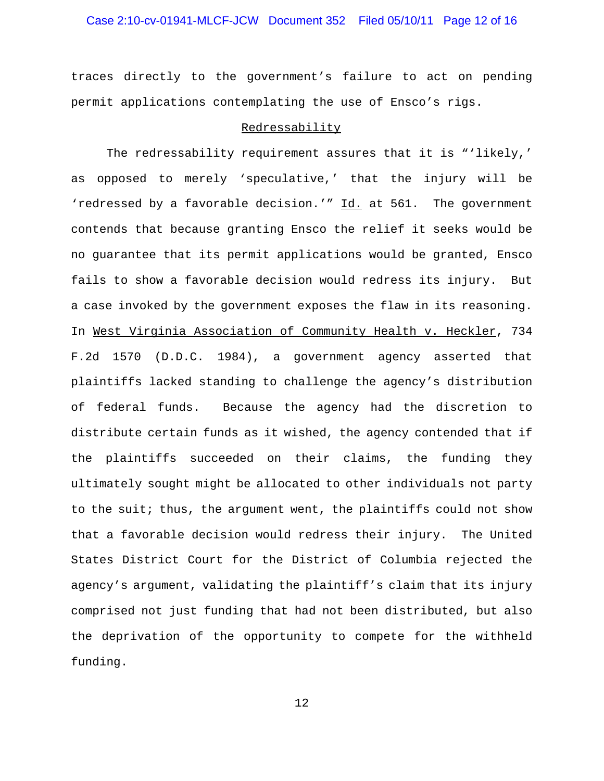# Case 2:10-cv-01941-MLCF-JCW Document 352 Filed 05/10/11 Page 12 of 16

traces directly to the government's failure to act on pending permit applications contemplating the use of Ensco's rigs.

#### Redressability

The redressability requirement assures that it is "'likely,' as opposed to merely 'speculative,' that the injury will be 'redressed by a favorable decision.'" Id. at 561. The government contends that because granting Ensco the relief it seeks would be no guarantee that its permit applications would be granted, Ensco fails to show a favorable decision would redress its injury. But a case invoked by the government exposes the flaw in its reasoning. In West Virginia Association of Community Health v. Heckler, 734 F.2d 1570 (D.D.C. 1984), a government agency asserted that plaintiffs lacked standing to challenge the agency's distribution of federal funds. Because the agency had the discretion to distribute certain funds as it wished, the agency contended that if the plaintiffs succeeded on their claims, the funding they ultimately sought might be allocated to other individuals not party to the suit; thus, the argument went, the plaintiffs could not show that a favorable decision would redress their injury. The United States District Court for the District of Columbia rejected the agency's argument, validating the plaintiff's claim that its injury comprised not just funding that had not been distributed, but also the deprivation of the opportunity to compete for the withheld funding.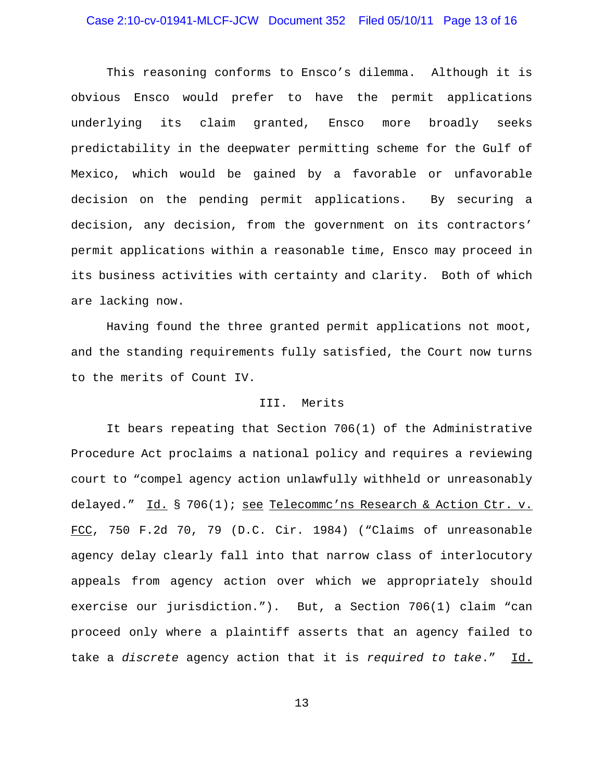# Case 2:10-cv-01941-MLCF-JCW Document 352 Filed 05/10/11 Page 13 of 16

This reasoning conforms to Ensco's dilemma. Although it is obvious Ensco would prefer to have the permit applications underlying its claim granted, Ensco more broadly seeks predictability in the deepwater permitting scheme for the Gulf of Mexico, which would be gained by a favorable or unfavorable decision on the pending permit applications. By securing a decision, any decision, from the government on its contractors' permit applications within a reasonable time, Ensco may proceed in its business activities with certainty and clarity. Both of which are lacking now.

Having found the three granted permit applications not moot, and the standing requirements fully satisfied, the Court now turns to the merits of Count IV.

### III. Merits

It bears repeating that Section 706(1) of the Administrative Procedure Act proclaims a national policy and requires a reviewing court to "compel agency action unlawfully withheld or unreasonably delayed." Id. § 706(1); see Telecommc'ns Research & Action Ctr. v. FCC, 750 F.2d 70, 79 (D.C. Cir. 1984) ("Claims of unreasonable agency delay clearly fall into that narrow class of interlocutory appeals from agency action over which we appropriately should exercise our jurisdiction."). But, a Section 706(1) claim "can proceed only where a plaintiff asserts that an agency failed to take a *discrete* agency action that it is *required to take*." Id.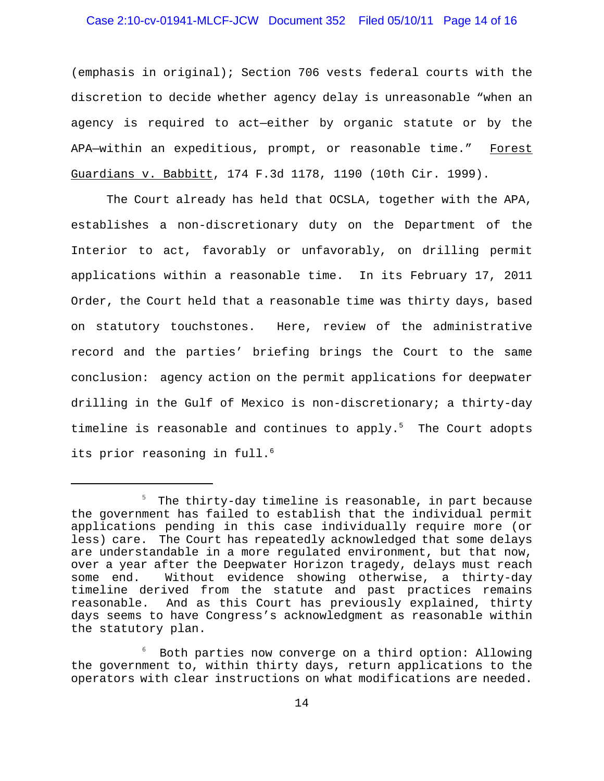### Case 2:10-cv-01941-MLCF-JCW Document 352 Filed 05/10/11 Page 14 of 16

(emphasis in original); Section 706 vests federal courts with the discretion to decide whether agency delay is unreasonable "when an agency is required to act—either by organic statute or by the APA-within an expeditious, prompt, or reasonable time." Forest Guardians v. Babbitt, 174 F.3d 1178, 1190 (10th Cir. 1999).

The Court already has held that OCSLA, together with the APA, establishes a non-discretionary duty on the Department of the Interior to act, favorably or unfavorably, on drilling permit applications within a reasonable time. In its February 17, 2011 Order, the Court held that a reasonable time was thirty days, based on statutory touchstones. Here, review of the administrative record and the parties' briefing brings the Court to the same conclusion: agency action on the permit applications for deepwater drilling in the Gulf of Mexico is non-discretionary; a thirty-day timeline is reasonable and continues to apply.<sup>5</sup> The Court adopts its prior reasoning in full.<sup>6</sup>

 $^5$  The thirty-day timeline is reasonable, in part because the government has failed to establish that the individual permit applications pending in this case individually require more (or less) care. The Court has repeatedly acknowledged that some delays are understandable in a more regulated environment, but that now, over a year after the Deepwater Horizon tragedy, delays must reach some end. Without evidence showing otherwise, a thirty-day timeline derived from the statute and past practices remains reasonable. And as this Court has previously explained, thirty days seems to have Congress's acknowledgment as reasonable within the statutory plan.

<sup>6</sup> Both parties now converge on a third option: Allowing the government to, within thirty days, return applications to the operators with clear instructions on what modifications are needed.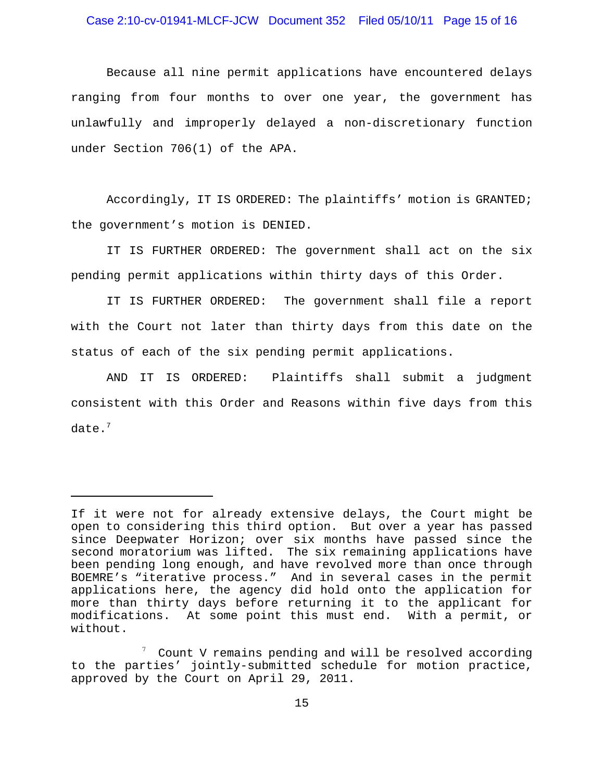### Case 2:10-cv-01941-MLCF-JCW Document 352 Filed 05/10/11 Page 15 of 16

Because all nine permit applications have encountered delays ranging from four months to over one year, the government has unlawfully and improperly delayed a non-discretionary function under Section 706(1) of the APA.

Accordingly, IT IS ORDERED: The plaintiffs' motion is GRANTED; the government's motion is DENIED.

IT IS FURTHER ORDERED: The government shall act on the six pending permit applications within thirty days of this Order.

IT IS FURTHER ORDERED: The government shall file a report with the Court not later than thirty days from this date on the status of each of the six pending permit applications.

AND IT IS ORDERED: Plaintiffs shall submit a judgment consistent with this Order and Reasons within five days from this date. $<sup>7</sup>$ </sup>

If it were not for already extensive delays, the Court might be open to considering this third option. But over a year has passed since Deepwater Horizon; over six months have passed since the second moratorium was lifted. The six remaining applications have been pending long enough, and have revolved more than once through BOEMRE's "iterative process." And in several cases in the permit applications here, the agency did hold onto the application for more than thirty days before returning it to the applicant for modifications. At some point this must end. With a permit, or without.

<sup>7</sup> Count V remains pending and will be resolved according to the parties' jointly-submitted schedule for motion practice, approved by the Court on April 29, 2011.